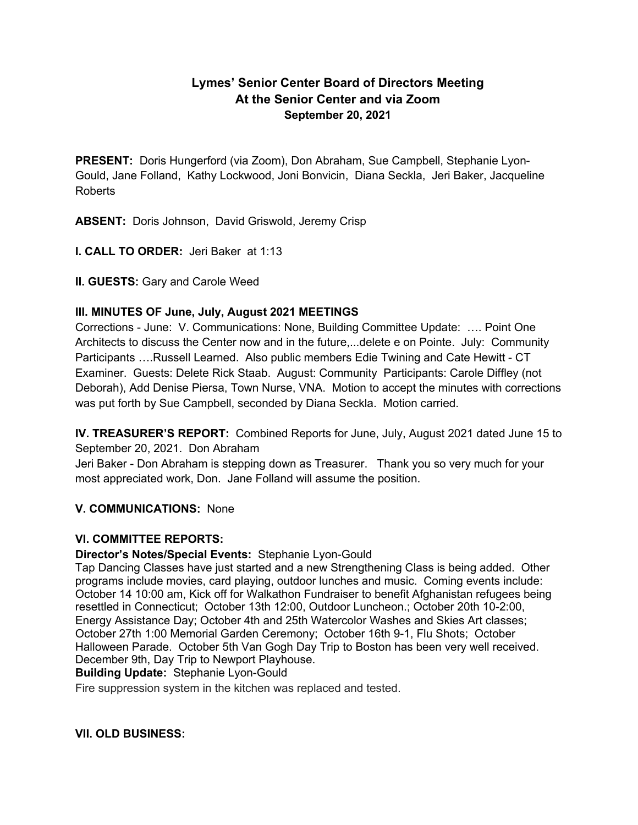# **Lymes' Senior Center Board of Directors Meeting At the Senior Center and via Zoom September 20, 2021**

**PRESENT:** Doris Hungerford (via Zoom), Don Abraham, Sue Campbell, Stephanie Lyon-Gould, Jane Folland, Kathy Lockwood, Joni Bonvicin, Diana Seckla, Jeri Baker, Jacqueline Roberts

**ABSENT:** Doris Johnson, David Griswold, Jeremy Crisp

**I. CALL TO ORDER:** Jeri Baker at 1:13

**II. GUESTS:** Gary and Carole Weed

## **III. MINUTES OF June, July, August 2021 MEETINGS**

Corrections - June: V. Communications: None, Building Committee Update: …. Point One Architects to discuss the Center now and in the future,...delete e on Pointe. July: Community Participants ….Russell Learned. Also public members Edie Twining and Cate Hewitt - CT Examiner. Guests: Delete Rick Staab. August: Community Participants: Carole Diffley (not Deborah), Add Denise Piersa, Town Nurse, VNA. Motion to accept the minutes with corrections was put forth by Sue Campbell, seconded by Diana Seckla. Motion carried.

**IV. TREASURER'S REPORT:** Combined Reports for June, July, August 2021 dated June 15 to September 20, 2021. Don Abraham

Jeri Baker - Don Abraham is stepping down as Treasurer. Thank you so very much for your most appreciated work, Don. Jane Folland will assume the position.

## **V. COMMUNICATIONS:** None

## **VI. COMMITTEE REPORTS:**

## **Director's Notes/Special Events:** Stephanie Lyon-Gould

Tap Dancing Classes have just started and a new Strengthening Class is being added. Other programs include movies, card playing, outdoor lunches and music. Coming events include: October 14 10:00 am, Kick off for Walkathon Fundraiser to benefit Afghanistan refugees being resettled in Connecticut; October 13th 12:00, Outdoor Luncheon.; October 20th 10-2:00, Energy Assistance Day; October 4th and 25th Watercolor Washes and Skies Art classes; October 27th 1:00 Memorial Garden Ceremony; October 16th 9-1, Flu Shots; October Halloween Parade. October 5th Van Gogh Day Trip to Boston has been very well received. December 9th, Day Trip to Newport Playhouse.

## **Building Update:** Stephanie Lyon-Gould

Fire suppression system in the kitchen was replaced and tested.

## **VII. OLD BUSINESS:**